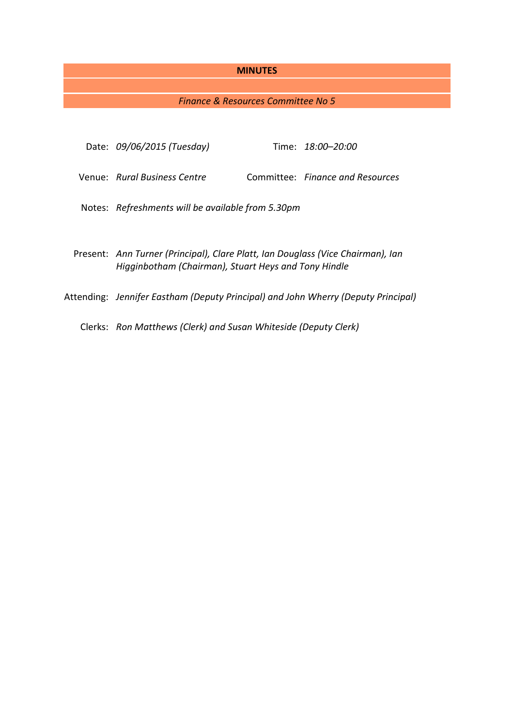#### **MINUTES**

# *Finance & Resources Committee No 5*

| Date: 09/06/2015 (Tuesday)                                                                                                              |  | Time: 18:00-20:00                |
|-----------------------------------------------------------------------------------------------------------------------------------------|--|----------------------------------|
| Venue: Rural Business Centre                                                                                                            |  | Committee: Finance and Resources |
| Notes: Refreshments will be available from 5.30pm                                                                                       |  |                                  |
| Present: Ann Turner (Principal), Clare Platt, Ian Douglass (Vice Chairman), Ian<br>Higginbotham (Chairman), Stuart Heys and Tony Hindle |  |                                  |
| Attending: Jennifer Eastham (Deputy Principal) and John Wherry (Deputy Principal)                                                       |  |                                  |

Clerks: *Ron Matthews (Clerk) and Susan Whiteside (Deputy Clerk)*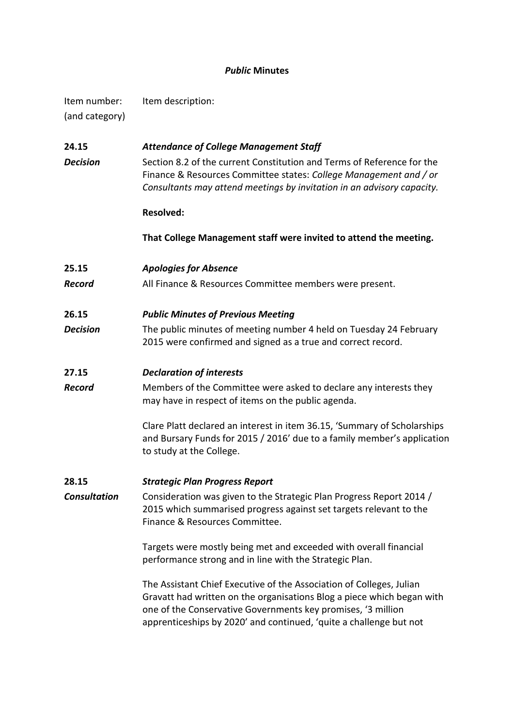# *Public* **Minutes**

Item number: Item description: (and category)

**24.15** *Attendance of College Management Staff* **Decision** Section 8.2 of the current Constitution and Terms of Reference for the Finance & Resources Committee states: *College Management and / or Consultants may attend meetings by invitation in an advisory capacity.* **Resolved: That College Management staff were invited to attend the meeting. 25.15** *Apologies for Absence Record* All Finance & Resources Committee members were present. **26.15** *Public Minutes of Previous Meeting Decision* The public minutes of meeting number 4 held on Tuesday 24 February 2015 were confirmed and signed as a true and correct record. **27.15** *Declaration of interests* **Record** Members of the Committee were asked to declare any interests they may have in respect of items on the public agenda. Clare Platt declared an interest in item 36.15, 'Summary of Scholarships and Bursary Funds for 2015 / 2016' due to a family member's application to study at the College. **28.15** *Strategic Plan Progress Report Consultation* Consideration was given to the Strategic Plan Progress Report 2014 / 2015 which summarised progress against set targets relevant to the Finance & Resources Committee. Targets were mostly being met and exceeded with overall financial performance strong and in line with the Strategic Plan. The Assistant Chief Executive of the Association of Colleges, Julian Gravatt had written on the organisations Blog a piece which began with one of the Conservative Governments key promises, '3 million apprenticeships by 2020' and continued, 'quite a challenge but not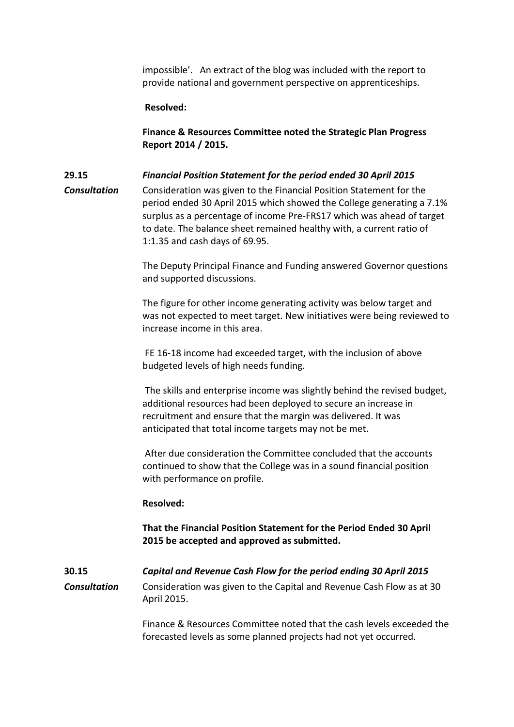impossible'. An extract of the blog was included with the report to provide national and government perspective on apprenticeships.

#### **Resolved:**

**Finance & Resources Committee noted the Strategic Plan Progress Report 2014 / 2015.**

### **29.15** *Financial Position Statement for the period ended 30 April 2015*

*Consultation* Consideration was given to the Financial Position Statement for the period ended 30 April 2015 which showed the College generating a 7.1% surplus as a percentage of income Pre-FRS17 which was ahead of target to date. The balance sheet remained healthy with, a current ratio of 1:1.35 and cash days of 69.95.

> The Deputy Principal Finance and Funding answered Governor questions and supported discussions.

> The figure for other income generating activity was below target and was not expected to meet target. New initiatives were being reviewed to increase income in this area.

FE 16-18 income had exceeded target, with the inclusion of above budgeted levels of high needs funding.

The skills and enterprise income was slightly behind the revised budget, additional resources had been deployed to secure an increase in recruitment and ensure that the margin was delivered. It was anticipated that total income targets may not be met.

After due consideration the Committee concluded that the accounts continued to show that the College was in a sound financial position with performance on profile.

#### **Resolved:**

**That the Financial Position Statement for the Period Ended 30 April 2015 be accepted and approved as submitted.**

**30.15** *Capital and Revenue Cash Flow for the period ending 30 April 2015 Consultation* Consideration was given to the Capital and Revenue Cash Flow as at 30 April 2015.

> Finance & Resources Committee noted that the cash levels exceeded the forecasted levels as some planned projects had not yet occurred.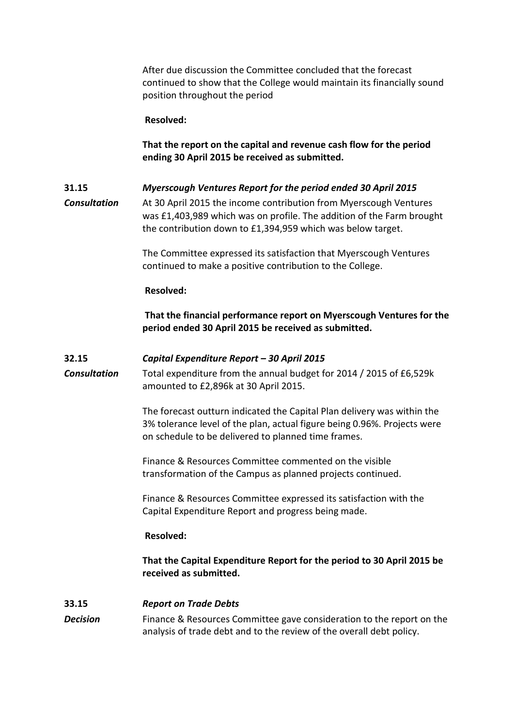After due discussion the Committee concluded that the forecast continued to show that the College would maintain its financially sound position throughout the period

**Resolved:** 

**That the report on the capital and revenue cash flow for the period ending 30 April 2015 be received as submitted.**

# **31.15** *Myerscough Ventures Report for the period ended 30 April 2015*

*Consultation* At 30 April 2015 the income contribution from Myerscough Ventures was £1,403,989 which was on profile. The addition of the Farm brought the contribution down to £1,394,959 which was below target.

> The Committee expressed its satisfaction that Myerscough Ventures continued to make a positive contribution to the College.

### **Resolved:**

**That the financial performance report on Myerscough Ventures for the period ended 30 April 2015 be received as submitted.**

### **32.15** *Capital Expenditure Report – 30 April 2015*

*Consultation* Total expenditure from the annual budget for 2014 / 2015 of £6,529k amounted to £2,896k at 30 April 2015.

> The forecast outturn indicated the Capital Plan delivery was within the 3% tolerance level of the plan, actual figure being 0.96%. Projects were on schedule to be delivered to planned time frames.

Finance & Resources Committee commented on the visible transformation of the Campus as planned projects continued.

Finance & Resources Committee expressed its satisfaction with the Capital Expenditure Report and progress being made.

#### **Resolved:**

**That the Capital Expenditure Report for the period to 30 April 2015 be received as submitted.**

# **33.15** *Report on Trade Debts*

*Decision* Finance & Resources Committee gave consideration to the report on the analysis of trade debt and to the review of the overall debt policy.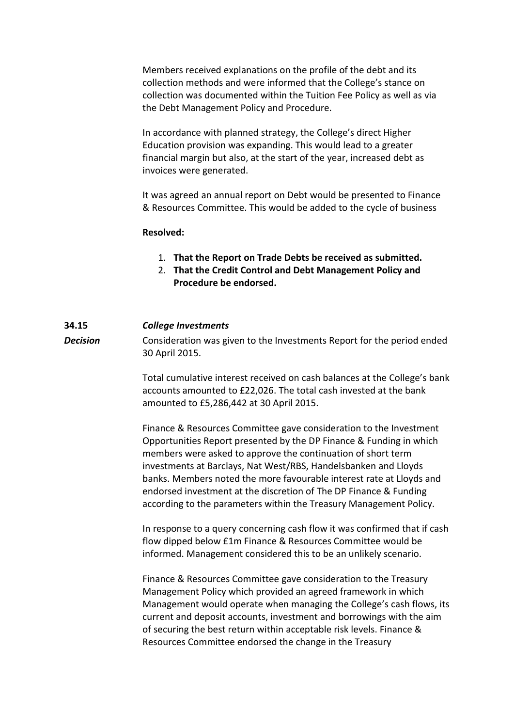Members received explanations on the profile of the debt and its collection methods and were informed that the College's stance on collection was documented within the Tuition Fee Policy as well as via the Debt Management Policy and Procedure.

In accordance with planned strategy, the College's direct Higher Education provision was expanding. This would lead to a greater financial margin but also, at the start of the year, increased debt as invoices were generated.

It was agreed an annual report on Debt would be presented to Finance & Resources Committee. This would be added to the cycle of business

#### **Resolved:**

- 1. **That the Report on Trade Debts be received as submitted.**
- 2. **That the Credit Control and Debt Management Policy and Procedure be endorsed.**

#### **34.15** *College Investments*

**Decision** Consideration was given to the Investments Report for the period ended 30 April 2015.

> Total cumulative interest received on cash balances at the College's bank accounts amounted to £22,026. The total cash invested at the bank amounted to £5,286,442 at 30 April 2015.

Finance & Resources Committee gave consideration to the Investment Opportunities Report presented by the DP Finance & Funding in which members were asked to approve the continuation of short term investments at Barclays, Nat West/RBS, Handelsbanken and Lloyds banks. Members noted the more favourable interest rate at Lloyds and endorsed investment at the discretion of The DP Finance & Funding according to the parameters within the Treasury Management Policy.

In response to a query concerning cash flow it was confirmed that if cash flow dipped below £1m Finance & Resources Committee would be informed. Management considered this to be an unlikely scenario.

Finance & Resources Committee gave consideration to the Treasury Management Policy which provided an agreed framework in which Management would operate when managing the College's cash flows, its current and deposit accounts, investment and borrowings with the aim of securing the best return within acceptable risk levels. Finance & Resources Committee endorsed the change in the Treasury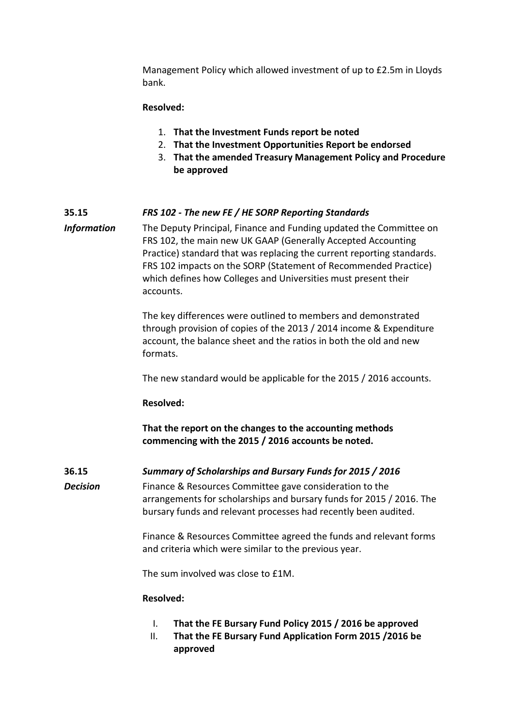Management Policy which allowed investment of up to £2.5m in Lloyds bank.

#### **Resolved:**

- 1. **That the Investment Funds report be noted**
- 2. **That the Investment Opportunities Report be endorsed**
- 3. **That the amended Treasury Management Policy and Procedure be approved**

### **35.15** *FRS 102 - The new FE / HE SORP Reporting Standards*

*Information* The Deputy Principal, Finance and Funding updated the Committee on FRS 102, the main new UK GAAP (Generally Accepted Accounting Practice) standard that was replacing the current reporting standards. FRS 102 impacts on the SORP (Statement of Recommended Practice) which defines how Colleges and Universities must present their accounts.

> The key differences were outlined to members and demonstrated through provision of copies of the 2013 / 2014 income & Expenditure account, the balance sheet and the ratios in both the old and new formats.

The new standard would be applicable for the 2015 / 2016 accounts.

#### **Resolved:**

**That the report on the changes to the accounting methods commencing with the 2015 / 2016 accounts be noted.** 

**36.15** *Summary of Scholarships and Bursary Funds for 2015 / 2016*

**Decision** Finance & Resources Committee gave consideration to the arrangements for scholarships and bursary funds for 2015 / 2016. The bursary funds and relevant processes had recently been audited.

> Finance & Resources Committee agreed the funds and relevant forms and criteria which were similar to the previous year.

The sum involved was close to £1M.

#### **Resolved:**

- I. **That the FE Bursary Fund Policy 2015 / 2016 be approved**
- II. **That the FE Bursary Fund Application Form 2015 /2016 be approved**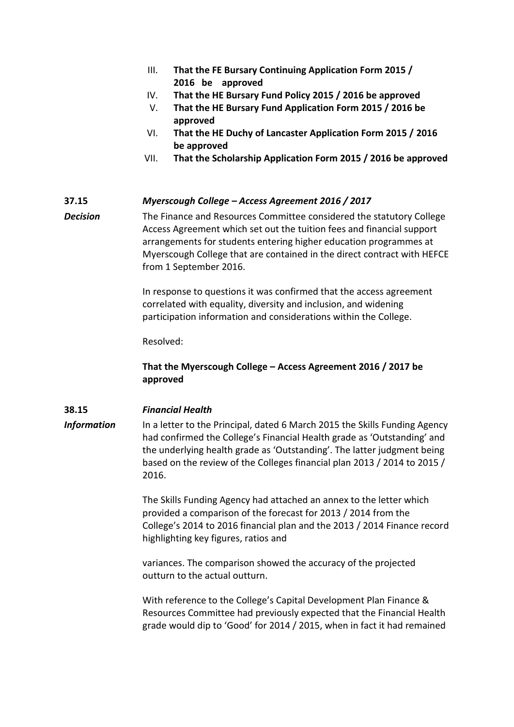- III. **That the FE Bursary Continuing Application Form 2015 / 2016 be approved**
- IV. **That the HE Bursary Fund Policy 2015 / 2016 be approved**
- V. **That the HE Bursary Fund Application Form 2015 / 2016 be approved**
- VI. **That the HE Duchy of Lancaster Application Form 2015 / 2016 be approved**
- VII. **That the Scholarship Application Form 2015 / 2016 be approved**

# **37.15** *Myerscough College – Access Agreement 2016 / 2017*

**Decision** The Finance and Resources Committee considered the statutory College Access Agreement which set out the tuition fees and financial support arrangements for students entering higher education programmes at Myerscough College that are contained in the direct contract with HEFCE from 1 September 2016.

> In response to questions it was confirmed that the access agreement correlated with equality, diversity and inclusion, and widening participation information and considerations within the College.

Resolved:

# **That the Myerscough College – Access Agreement 2016 / 2017 be approved**

# **38.15** *Financial Health*

**Information** In a letter to the Principal, dated 6 March 2015 the Skills Funding Agency had confirmed the College's Financial Health grade as 'Outstanding' and the underlying health grade as 'Outstanding'. The latter judgment being based on the review of the Colleges financial plan 2013 / 2014 to 2015 / 2016.

> The Skills Funding Agency had attached an annex to the letter which provided a comparison of the forecast for 2013 / 2014 from the College's 2014 to 2016 financial plan and the 2013 / 2014 Finance record highlighting key figures, ratios and

variances. The comparison showed the accuracy of the projected outturn to the actual outturn.

With reference to the College's Capital Development Plan Finance & Resources Committee had previously expected that the Financial Health grade would dip to 'Good' for 2014 / 2015, when in fact it had remained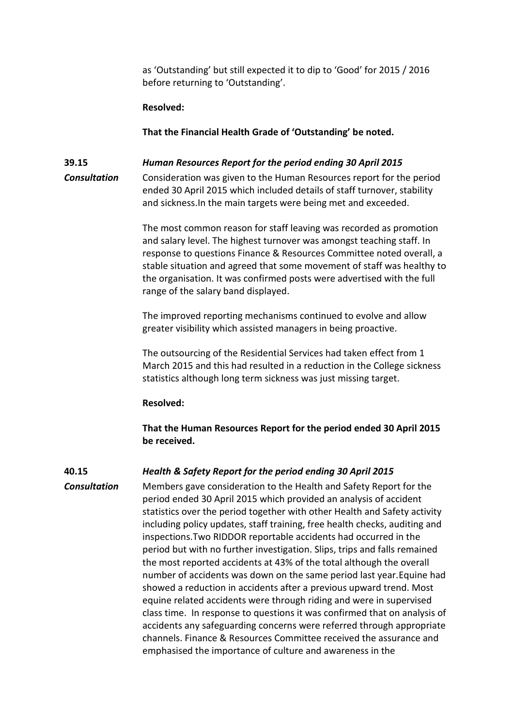as 'Outstanding' but still expected it to dip to 'Good' for 2015 / 2016 before returning to 'Outstanding'.

#### **Resolved:**

**That the Financial Health Grade of 'Outstanding' be noted.**

#### **39.15** *Human Resources Report for the period ending 30 April 2015*

*Consultation* Consideration was given to the Human Resources report for the period ended 30 April 2015 which included details of staff turnover, stability and sickness.In the main targets were being met and exceeded.

> The most common reason for staff leaving was recorded as promotion and salary level. The highest turnover was amongst teaching staff. In response to questions Finance & Resources Committee noted overall, a stable situation and agreed that some movement of staff was healthy to the organisation. It was confirmed posts were advertised with the full range of the salary band displayed.

The improved reporting mechanisms continued to evolve and allow greater visibility which assisted managers in being proactive.

The outsourcing of the Residential Services had taken effect from 1 March 2015 and this had resulted in a reduction in the College sickness statistics although long term sickness was just missing target.

#### **Resolved:**

**That the Human Resources Report for the period ended 30 April 2015 be received.**

# **40.15** *Health & Safety Report for the period ending 30 April 2015*

*Consultation* Members gave consideration to the Health and Safety Report for the period ended 30 April 2015 which provided an analysis of accident statistics over the period together with other Health and Safety activity including policy updates, staff training, free health checks, auditing and inspections.Two RIDDOR reportable accidents had occurred in the period but with no further investigation. Slips, trips and falls remained the most reported accidents at 43% of the total although the overall number of accidents was down on the same period last year.Equine had showed a reduction in accidents after a previous upward trend. Most equine related accidents were through riding and were in supervised class time. In response to questions it was confirmed that on analysis of accidents any safeguarding concerns were referred through appropriate channels. Finance & Resources Committee received the assurance and emphasised the importance of culture and awareness in the